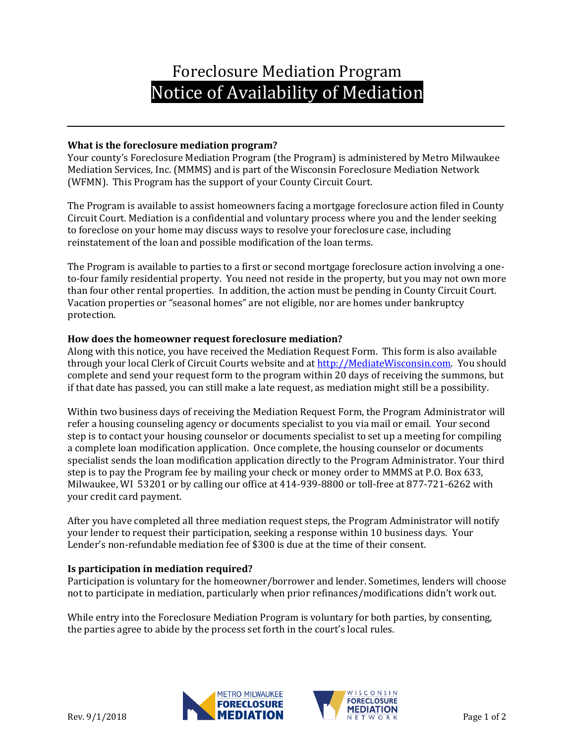# Foreclosure Mediation Program Notice of Availability of Mediation

# **What is the foreclosure mediation program?**

Your county's Foreclosure Mediation Program (the Program) is administered by Metro Milwaukee Mediation Services, Inc. (MMMS) and is part of the Wisconsin Foreclosure Mediation Network (WFMN). This Program has the support of your County Circuit Court.

The Program is available to assist homeowners facing a mortgage foreclosure action filed in County Circuit Court. Mediation is a confidential and voluntary process where you and the lender seeking to foreclose on your home may discuss ways to resolve your foreclosure case, including reinstatement of the loan and possible modification of the loan terms.

The Program is available to parties to a first or second mortgage foreclosure action involving a oneto-four family residential property. You need not reside in the property, but you may not own more than four other rental properties. In addition, the action must be pending in County Circuit Court. Vacation properties or "seasonal homes" are not eligible, nor are homes under bankruptcy protection.

# **How does the homeowner request foreclosure mediation?**

Along with this notice, you have received the Mediation Request Form. This form is also available through your local Clerk of Circuit Courts website and at [http://MediateWisconsin.com.](http://mediatewisconsin.com/) You should complete and send your request form to the program within 20 days of receiving the summons, but if that date has passed, you can still make a late request, as mediation might still be a possibility.

Within two business days of receiving the Mediation Request Form, the Program Administrator will refer a housing counseling agency or documents specialist to you via mail or email. Your second step is to contact your housing counselor or documents specialist to set up a meeting for compiling a complete loan modification application. Once complete, the housing counselor or documents specialist sends the loan modification application directly to the Program Administrator. Your third step is to pay the Program fee by mailing your check or money order to MMMS at P.O. Box 633, Milwaukee, WI 53201 or by calling our office at 414-939-8800 or toll-free at 877-721-6262 with your credit card payment.

After you have completed all three mediation request steps, the Program Administrator will notify your lender to request their participation, seeking a response within 10 business days. Your Lender's non-refundable mediation fee of \$300 is due at the time of their consent.

### **Is participation in mediation required?**

Participation is voluntary for the homeowner/borrower and lender. Sometimes, lenders will choose not to participate in mediation, particularly when prior refinances/modifications didn't work out.

While entry into the Foreclosure Mediation Program is voluntary for both parties, by consenting, the parties agree to abide by the process set forth in the court's local rules.